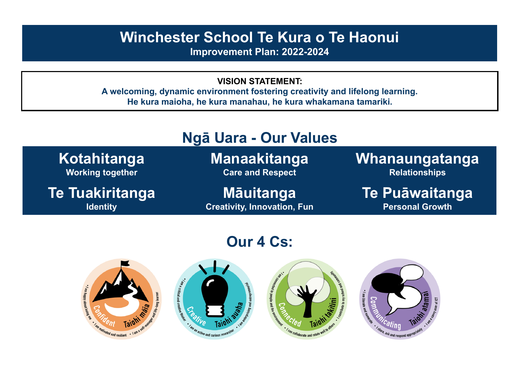## **Winchester School Te Kura o Te Haonui**

**Improvement Plan: 2022-2024**

**VISION STATEMENT:**

**A welcoming, dynamic environment fostering creativity and lifelong learning. He kura maioha, he kura manahau, he kura whakamana tamariki.**



# **Our 4 Cs:**

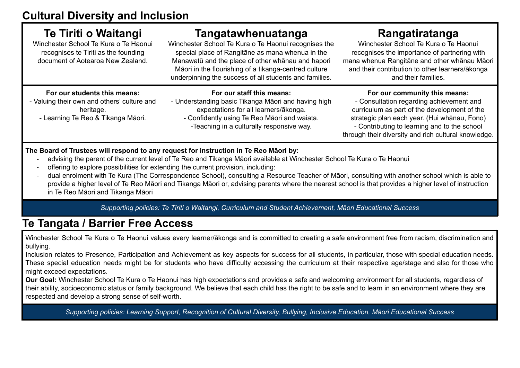| Te Tiriti o Waitangi<br>Winchester School Te Kura o Te Haonui<br>recognises te Tiriti as the founding<br>document of Aotearoa New Zealand. | <b>Tangatawhenuatanga</b><br>Winchester School Te Kura o Te Haonui recognises the<br>special place of Rangitāne as mana whenua in the<br>Manawatū and the place of other whānau and hapori<br>Māori in the flourishing of a tikanga-centred culture<br>underpinning the success of all students and families. | Rangatiratanga<br>Winchester School Te Kura o Te Haonui<br>recognises the importance of partnering with<br>mana whenua Rangitāne and other whānau Māori<br>and their contribution to other learners/ākonga<br>and their families.                                                 |
|--------------------------------------------------------------------------------------------------------------------------------------------|---------------------------------------------------------------------------------------------------------------------------------------------------------------------------------------------------------------------------------------------------------------------------------------------------------------|-----------------------------------------------------------------------------------------------------------------------------------------------------------------------------------------------------------------------------------------------------------------------------------|
| For our students this means:<br>- Valuing their own and others' culture and<br>heritage.<br>- Learning Te Reo & Tikanga Māori.             | For our staff this means:<br>- Understanding basic Tikanga Māori and having high<br>expectations for all learners/ākonga.<br>- Confidently using Te Reo Māori and waiata.<br>-Teaching in a culturally responsive way.                                                                                        | For our community this means:<br>- Consultation regarding achievement and<br>curriculum as part of the development of the<br>strategic plan each year. (Hui whānau, Fono)<br>- Contributing to learning and to the school<br>through their diversity and rich cultural knowledge. |

#### **The Board of Trustees will respond to any request for instruction in Te Reo Māori by:**

- advising the parent of the current level of Te Reo and Tikanga Māori available at Winchester School Te Kura o Te Haonui
- offering to explore possibilities for extending the current provision, including:

- dual enrolment with Te Kura (The Correspondence School), consulting a Resource Teacher of Māori, consulting with another school which is able to provide a higher level of Te Reo Māori and Tikanga Māori or, advising parents where the nearest school is that provides a higher level of instruction in Te Reo Māori and Tikanga Māori

*Supporting policies: Te Tiriti o Waitangi, Curriculum and Student Achievement, Māori Educational Success*

### **Te Tangata / Barrier Free Access**

Winchester School Te Kura o Te Haonui values every learner/ākonga and is committed to creating a safe environment free from racism, discrimination and bullying.

Inclusion relates to Presence, Participation and Achievement as key aspects for success for all students, in particular, those with special education needs. These special education needs might be for students who have difficulty accessing the curriculum at their respective age/stage and also for those who might exceed expectations.

**Our Goal:** Winchester School Te Kura o Te Haonui has high expectations and provides a safe and welcoming environment for all students, regardless of their ability, socioeconomic status or family background. We believe that each child has the right to be safe and to learn in an environment where they are respected and develop a strong sense of self-worth.

Supporting policies: Learning Support, Recognition of Cultural Diversity, Bullying, Inclusive Education, Māori Educational Success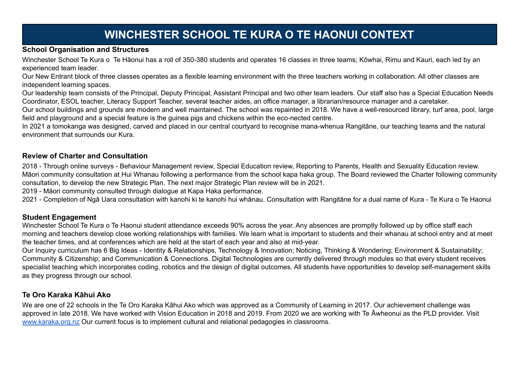## **WINCHESTER SCHOOL TE KURA O TE HAONUI CONTEXT**

#### **School Organisation and Structures**

Winchester School Te Kura o Te Hāonui has a roll of 350-380 students and operates 16 classes in three teams; Kōwhai, Rimu and Kauri, each led by an experienced team leader.

Our New Entrant block of three classes operates as a flexible learning environment with the three teachers working in collaboration. All other classes are independent learning spaces.

Our leadership team consists of the Principal, Deputy Principal, Assistant Principal and two other team leaders. Our staff also has a Special Education Needs Coordinator, ESOL teacher, Literacy Support Teacher, several teacher aides, an office manager, a librarian/resource manager and a caretaker.

Our school buildings and grounds are modern and well maintained. The school was repainted in 2018. We have a well-resourced library, turf area, pool, large field and playground and a special feature is the guinea pigs and chickens within the eco-nected centre.

In 2021 a tomokanga was designed, carved and placed in our central courtyard to recognise mana-whenua Rangitāne, our teaching teams and the natural environment that surrounds our Kura.

#### **Review of Charter and Consultation**

2018 - Through online surveys - Behaviour Management review, Special Education review, Reporting to Parents, Health and Sexuality Education review. Māori community consultation at Hui Whanau following a performance from the school kapa haka group. The Board reviewed the Charter following community consultation, to develop the new Strategic Plan. The next major Strategic Plan review will be in 2021.

2019 - Māori community consulted through dialogue at Kapa Haka performance.

2021 - Completion of Ngā Uara consultation with kanohi ki te kanohi hui whānau. Consultation with Rangitāne for a dual name of Kura - Te Kura o Te Haonui

#### **Student Engagement**

Winchester School Te Kura o Te Haonui student attendance exceeds 90% across the year. Any absences are promptly followed up by office staff each morning and teachers develop close working relationships with families. We learn what is important to students and their whanau at school entry and at meet the teacher times, and at conferences which are held at the start of each year and also at mid-year.

Our Inquiry curriculum has 6 Big Ideas - Identity & Relationships, Technology & Innovation; Noticing, Thinking & Wondering; Environment & Sustainability; Community & Citizenship; and Communication & Connections. Digital Technologies are currently delivered through modules so that every student receives specialist teaching which incorporates coding, robotics and the design of digital outcomes. All students have opportunities to develop self-management skills as they progress through our school.

#### **Te Oro Karaka Kāhui Ako**

We are one of 22 schools in the Te Oro Karaka Kāhui Ako which was approved as a Community of Learning in 2017. Our achievement challenge was approved in late 2018. We have worked with Vision Education in 2018 and 2019. From 2020 we are working with Te Āwheonui as the PLD provider. Visit [www.karaka.org.nz](http://www.karaka.org.nz) Our current focus is to implement cultural and relational pedagogies in classrooms.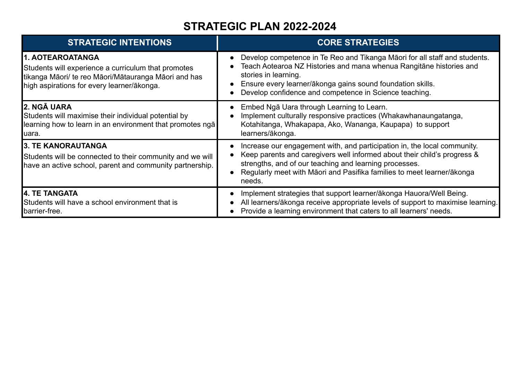### **STRATEGIC PLAN 2022-2024**

| <b>STRATEGIC INTENTIONS</b>                                                                                                                                                   | <b>CORE STRATEGIES</b>                                                                                                                                                                                                                                                                             |
|-------------------------------------------------------------------------------------------------------------------------------------------------------------------------------|----------------------------------------------------------------------------------------------------------------------------------------------------------------------------------------------------------------------------------------------------------------------------------------------------|
| 1. AOTEAROATANGA<br>Students will experience a curriculum that promotes<br>tikanga Māori/ te reo Māori/Mātauranga Māori and has<br>high aspirations for every learner/ākonga. | Develop competence in Te Reo and Tikanga Maori for all staff and students.<br>Teach Aotearoa NZ Histories and mana whenua Rangitāne histories and<br>stories in learning.<br>Ensure every learner/ākonga gains sound foundation skills.<br>Develop confidence and competence in Science teaching.  |
| <b>2. NGĀ UARA</b><br>Students will maximise their individual potential by<br>learning how to learn in an environment that promotes ngā<br>luara.                             | Embed Ngā Uara through Learning to Learn.<br>Implement culturally responsive practices (Whakawhanaungatanga,<br>Kotahitanga, Whakapapa, Ako, Wananga, Kaupapa) to support<br>learners/ākonga.                                                                                                      |
| <b>3. TE KANORAUTANGA</b><br>Students will be connected to their community and we will<br>have an active school, parent and community partnership.                            | Increase our engagement with, and participation in, the local community.<br>Keep parents and caregivers well informed about their child's progress &<br>strengths, and of our teaching and learning processes.<br>Regularly meet with Māori and Pasifika families to meet learner/ākonga<br>needs. |
| <b>14. TE TANGATA</b><br>Students will have a school environment that is<br><b>I</b> barrier-free.                                                                            | Implement strategies that support learner/ākonga Hauora/Well Being.<br>All learners/ākonga receive appropriate levels of support to maximise learning.<br>Provide a learning environment that caters to all learners' needs.                                                                       |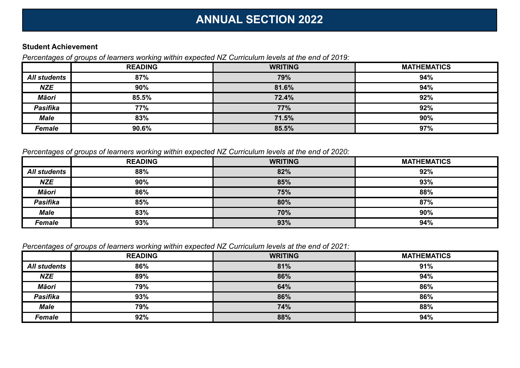## **ANNUAL SECTION 2022**

#### **Student Achievement**

*Percentages of groups of learners working within expected NZ Curriculum levels at the end of 2019:*

|                     | <b>READING</b> | <b>WRITING</b> | <b>MATHEMATICS</b> |
|---------------------|----------------|----------------|--------------------|
| <b>All students</b> | 87%            | 79%            | 94%                |
| <b>NZE</b>          | 90%            | 81.6%          | 94%                |
| <b>Māori</b>        | 85.5%          | 72.4%          | 92%                |
| <b>Pasifika</b>     | <b>77%</b>     | 77%            | 92%                |
| <b>Male</b>         | 83%            | 71.5%          | 90%                |
| Female              | 90.6%          | 85.5%          | 97%                |

*Percentages of groups of learners working within expected NZ Curriculum levels at the end of 2020:*

|                     | <b>READING</b> | <b>WRITING</b> | <b>MATHEMATICS</b> |
|---------------------|----------------|----------------|--------------------|
| <b>All students</b> | 88%            | 82%            | 92%                |
| <b>NZE</b>          | 90%            | 85%            | 93%                |
| <b>Māori</b>        | 86%            | 75%            | 88%                |
| <b>Pasifika</b>     | 85%            | 80%            | 87%                |
| <b>Male</b>         | 83%            | 70%            | 90%                |
| <b>Female</b>       | 93%            | 93%            | 94%                |

*Percentages of groups of learners working within expected NZ Curriculum levels at the end of 2021:*

|                     | <b>READING</b> | <b>WRITING</b> | <b>MATHEMATICS</b> |
|---------------------|----------------|----------------|--------------------|
| <b>All students</b> | 86%            | 81%            | 91%                |
| <b>NZE</b>          | 89%            | 86%            | 94%                |
| <b>Māori</b>        | 79%            | 64%            | 86%                |
| <b>Pasifika</b>     | 93%            | 86%            | 86%                |
| <b>Male</b>         | 79%            | 74%            | 88%                |
| <b>Female</b>       | 92%            | 88%            | 94%                |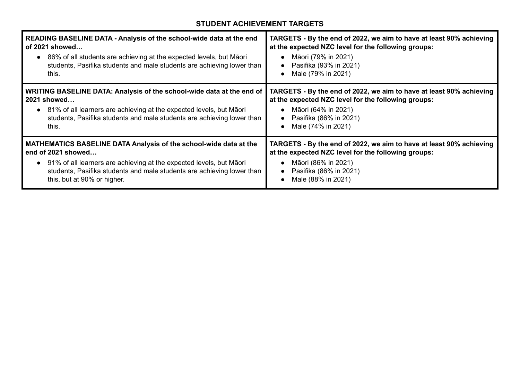### **STUDENT ACHIEVEMENT TARGETS**

| <b>READING BASELINE DATA - Analysis of the school-wide data at the end</b><br>of 2021 showed<br>86% of all students are achieving at the expected levels, but Māori<br>$\bullet$<br>students, Pasifika students and male students are achieving lower than<br>this. | TARGETS - By the end of 2022, we aim to have at least 90% achieving<br>at the expected NZC level for the following groups:<br>Māori (79% in 2021)<br>Pasifika (93% in 2021)<br>Male (79% in 2021) |
|---------------------------------------------------------------------------------------------------------------------------------------------------------------------------------------------------------------------------------------------------------------------|---------------------------------------------------------------------------------------------------------------------------------------------------------------------------------------------------|
| WRITING BASELINE DATA: Analysis of the school-wide data at the end of                                                                                                                                                                                               | TARGETS - By the end of 2022, we aim to have at least 90% achieving                                                                                                                               |
| 2021 showed                                                                                                                                                                                                                                                         | at the expected NZC level for the following groups:                                                                                                                                               |
| • 81% of all learners are achieving at the expected levels, but Māori                                                                                                                                                                                               | Māori (64% in 2021)                                                                                                                                                                               |
| students, Pasifika students and male students are achieving lower than                                                                                                                                                                                              | Pasifika (86% in 2021)                                                                                                                                                                            |
| this.                                                                                                                                                                                                                                                               | Male (74% in 2021)                                                                                                                                                                                |
| <b>MATHEMATICS BASELINE DATA Analysis of the school-wide data at the</b>                                                                                                                                                                                            | TARGETS - By the end of 2022, we aim to have at least 90% achieving                                                                                                                               |
| end of 2021 showed                                                                                                                                                                                                                                                  | at the expected NZC level for the following groups:                                                                                                                                               |
| • 91% of all learners are achieving at the expected levels, but Māori                                                                                                                                                                                               | Māori (86% in 2021)                                                                                                                                                                               |
| students, Pasifika students and male students are achieving lower than                                                                                                                                                                                              | Pasifika (86% in 2021)                                                                                                                                                                            |
| this, but at 90% or higher.                                                                                                                                                                                                                                         | Male (88% in 2021)                                                                                                                                                                                |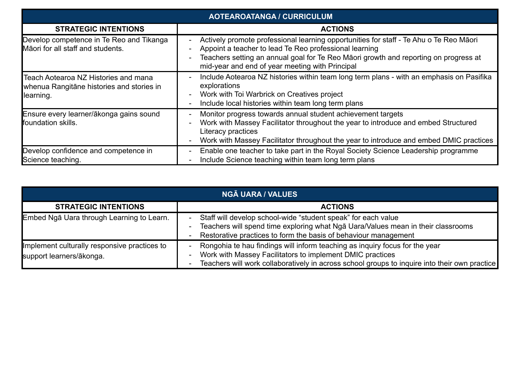| <b>AOTEAROATANGA / CURRICULUM</b>                                                              |                                                                                                                                                                                                                                                                                                                                                     |  |
|------------------------------------------------------------------------------------------------|-----------------------------------------------------------------------------------------------------------------------------------------------------------------------------------------------------------------------------------------------------------------------------------------------------------------------------------------------------|--|
| <b>STRATEGIC INTENTIONS</b>                                                                    | <b>ACTIONS</b>                                                                                                                                                                                                                                                                                                                                      |  |
| Develop competence in Te Reo and Tikanga<br>Māori for all staff and students.                  | Actively promote professional learning opportunities for staff - Te Ahu o Te Reo Māori<br>$\overline{\phantom{0}}$<br>Appoint a teacher to lead Te Reo professional learning<br>Teachers setting an annual goal for Te Reo Maori growth and reporting on progress at<br>$\overline{\phantom{a}}$<br>mid-year and end of year meeting with Principal |  |
| Teach Aotearoa NZ Histories and mana<br>whenua Rangitāne histories and stories in<br>learning. | Include Aotearoa NZ histories within team long term plans - with an emphasis on Pasifika<br>$\blacksquare$<br>explorations<br>Work with Toi Warbrick on Creatives project<br>$\overline{\phantom{0}}$<br>Include local histories within team long term plans<br>$\overline{\phantom{a}}$                                                            |  |
| Ensure every learner/ākonga gains sound<br>foundation skills.                                  | Monitor progress towards annual student achievement targets<br>$\blacksquare$<br>Work with Massey Facilitator throughout the year to introduce and embed Structured<br>$\qquad \qquad -$<br>Literacy practices<br>Work with Massey Facilitator throughout the year to introduce and embed DMIC practices                                            |  |
| Develop confidence and competence in<br>Science teaching.                                      | Enable one teacher to take part in the Royal Society Science Leadership programme<br>$\blacksquare$<br>Include Science teaching within team long term plans<br>$\overline{\phantom{a}}$                                                                                                                                                             |  |

| <b>NGĀ UARA / VALUES</b>                                                 |                                                                                                                                                                                                                                                                        |  |
|--------------------------------------------------------------------------|------------------------------------------------------------------------------------------------------------------------------------------------------------------------------------------------------------------------------------------------------------------------|--|
| <b>STRATEGIC INTENTIONS</b>                                              | <b>ACTIONS</b>                                                                                                                                                                                                                                                         |  |
| Embed Ngā Uara through Learning to Learn.                                | Staff will develop school-wide "student speak" for each value<br>-<br>Teachers will spend time exploring what Nga Uara/Values mean in their classrooms<br>$\blacksquare$<br>Restorative practices to form the basis of behaviour management<br>-                       |  |
| Implement culturally responsive practices to<br>support learners/ākonga. | Rongohia te hau findings will inform teaching as inquiry focus for the year<br>-<br>Work with Massey Facilitators to implement DMIC practices<br>Ξ.<br>Teachers will work collaboratively in across school groups to inquire into their own practice<br>$\blacksquare$ |  |